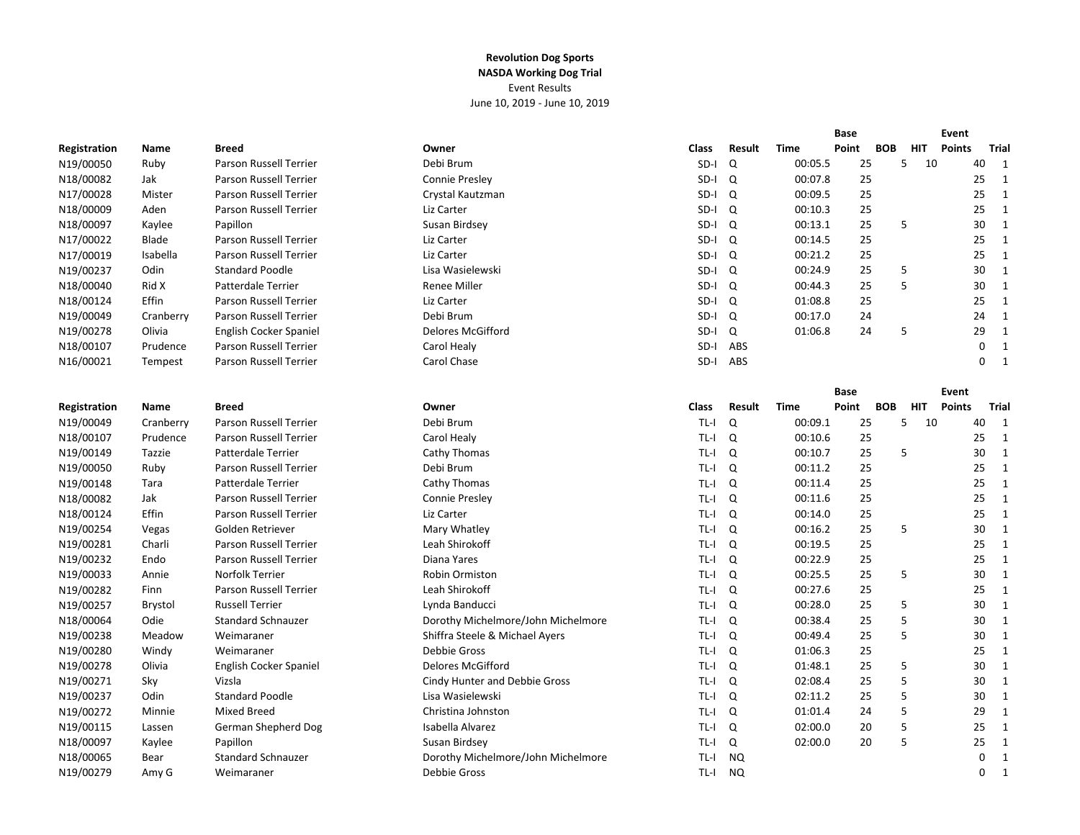|              |           |                               |                                    |              |           |             | <b>Base</b> |            | Event      |               |              |
|--------------|-----------|-------------------------------|------------------------------------|--------------|-----------|-------------|-------------|------------|------------|---------------|--------------|
| Registration | Name      | <b>Breed</b>                  | Owner                              | <b>Class</b> | Result    | <b>Time</b> | Point       | <b>BOB</b> | <b>HIT</b> | <b>Points</b> | Trial        |
| N19/00050    | Ruby      | Parson Russell Terrier        | Debi Brum                          | SD-I         | Q         | 00:05.5     | 25          | 5          | - 10       | 40            | 1            |
| N18/00082    | Jak       | Parson Russell Terrier        | Connie Presley                     | SD-I         | Q         | 00:07.8     | 25          |            |            | 25            | $\mathbf{1}$ |
| N17/00028    | Mister    | Parson Russell Terrier        | Crystal Kautzman                   | SD-I         | Q         | 00:09.5     | 25          |            |            | 25            | 1            |
| N18/00009    | Aden      | Parson Russell Terrier        | Liz Carter                         | SD-I         | Q         | 00:10.3     | 25          |            |            | 25            | $\mathbf{1}$ |
| N18/00097    | Kaylee    | Papillon                      | Susan Birdsey                      | SD-I         | Q         | 00:13.1     | 25          | 5          |            | 30            | 1            |
| N17/00022    | Blade     | Parson Russell Terrier        | Liz Carter                         | SD-I         | Q         | 00:14.5     | 25          |            |            | 25            | 1            |
| N17/00019    | Isabella  | Parson Russell Terrier        | Liz Carter                         | SD-I         | Q         | 00:21.2     | 25          |            |            | 25            | $\mathbf{1}$ |
| N19/00237    | Odin      | <b>Standard Poodle</b>        | Lisa Wasielewski                   | SD-I         | Q         | 00:24.9     | 25          | 5          |            | 30            | $\mathbf{1}$ |
| N18/00040    | Rid X     | <b>Patterdale Terrier</b>     | <b>Renee Miller</b>                | SD-I         | Q         | 00:44.3     | 25          | 5          |            | 30            | $\mathbf{1}$ |
| N18/00124    | Effin     | <b>Parson Russell Terrier</b> | Liz Carter                         | SD-I         | Q         | 01:08.8     | 25          |            |            | 25            | 1            |
| N19/00049    | Cranberry | <b>Parson Russell Terrier</b> | Debi Brum                          | SD-I         | Q         | 00:17.0     | 24          |            |            | 24            | 1            |
| N19/00278    | Olivia    | English Cocker Spaniel        | Delores McGifford                  | SD-I         | Q         | 01:06.8     | 24          | 5          |            | 29            | 1            |
| N18/00107    | Prudence  | Parson Russell Terrier        | Carol Healy                        | SD-I         | ABS       |             |             |            |            | 0             | $\mathbf{1}$ |
| N16/00021    | Tempest   | Parson Russell Terrier        | Carol Chase                        | SD-I         | ABS       |             |             |            |            | 0             | 1            |
|              |           |                               |                                    |              |           |             |             |            |            |               |              |
|              |           |                               |                                    |              |           |             | <b>Base</b> |            |            | Event         |              |
| Registration | Name      | <b>Breed</b>                  | Owner                              | Class        | Result    | Time        | Point       | <b>BOB</b> | <b>HIT</b> | <b>Points</b> | Trial        |
| N19/00049    | Cranberry | Parson Russell Terrier        | Debi Brum                          | $TL-I$       | Q         | 00:09.1     | 25          | 5          | 10         | 40            | 1            |
| N18/00107    | Prudence  | Parson Russell Terrier        | Carol Healy                        | TL-I         | Q         | 00:10.6     | 25          |            |            | 25            | $\mathbf{1}$ |
| N19/00149    | Tazzie    | Patterdale Terrier            | Cathy Thomas                       | TL-I         | Q         | 00:10.7     | 25          | 5          |            | 30            | 1            |
| N19/00050    | Ruby      | Parson Russell Terrier        | Debi Brum                          | TL-I         | Q         | 00:11.2     | 25          |            |            | 25            | 1            |
| N19/00148    | Tara      | <b>Patterdale Terrier</b>     | Cathy Thomas                       | TL-I         | Q         | 00:11.4     | 25          |            |            | 25            | 1            |
| N18/00082    | Jak       | <b>Parson Russell Terrier</b> | <b>Connie Preslev</b>              | TL-I         | Q         | 00:11.6     | 25          |            |            | 25            | 1            |
| N18/00124    | Effin     | Parson Russell Terrier        | Liz Carter                         | TL-I         | Q         | 00:14.0     | 25          |            |            | 25            | $\mathbf{1}$ |
| N19/00254    | Vegas     | Golden Retriever              | Mary Whatley                       | TL-I         | Q         | 00:16.2     | 25          | 5          |            | 30            | 1            |
| N19/00281    | Charli    | Parson Russell Terrier        | Leah Shirokoff                     | TL-I         | Q         | 00:19.5     | 25          |            |            | 25            | $\mathbf{1}$ |
| N19/00232    | Endo      | Parson Russell Terrier        | Diana Yares                        | TL-I         | Q         | 00:22.9     | 25          |            |            | 25            | $\mathbf{1}$ |
| N19/00033    | Annie     | Norfolk Terrier               | Robin Ormiston                     | TL-I         | Q         | 00:25.5     | 25          | 5          |            | 30            | $\mathbf{1}$ |
| N19/00282    | Finn      | Parson Russell Terrier        | Leah Shirokoff                     | TL-I         | Q         | 00:27.6     | 25          |            |            | 25            | $\mathbf{1}$ |
| N19/00257    | Brystol   | <b>Russell Terrier</b>        | Lynda Banducci                     | TL-I         | Q         | 00:28.0     | 25          | 5          |            | 30            | $\mathbf{1}$ |
| N18/00064    | Odie      | <b>Standard Schnauzer</b>     | Dorothy Michelmore/John Michelmore | TL-I         | Q         | 00:38.4     | 25          | 5          |            | 30            | $\mathbf{1}$ |
| N19/00238    | Meadow    | Weimaraner                    | Shiffra Steele & Michael Ayers     | TL-I         | Q         | 00:49.4     | 25          | 5          |            | 30            | $\mathbf{1}$ |
| N19/00280    | Windy     | Weimaraner                    | <b>Debbie Gross</b>                | TL-I         | Q         | 01:06.3     | 25          |            |            | 25            | $\mathbf{1}$ |
| N19/00278    | Olivia    | English Cocker Spaniel        | Delores McGifford                  | TL-I         | Q         | 01:48.1     | 25          | 5          |            | 30            | $\mathbf{1}$ |
| N19/00271    | Sky       | Vizsla                        | Cindy Hunter and Debbie Gross      | TL-I         | Q         | 02:08.4     | 25          | 5          |            | 30            | 1            |
| N19/00237    | Odin      | <b>Standard Poodle</b>        | Lisa Wasielewski                   | TL-I         | Q         | 02:11.2     | 25          | 5          |            | 30            | $\mathbf{1}$ |
| N19/00272    | Minnie    | <b>Mixed Breed</b>            | Christina Johnston                 | TL-I         | Q         | 01:01.4     | 24          | 5          |            | 29            | 1            |
| N19/00115    | Lassen    | German Shepherd Dog           | Isabella Alvarez                   | TL-I         | Q         | 02:00.0     | 20          | 5          |            | 25            | 1            |
| N18/00097    | Kaylee    | Papillon                      | Susan Birdsey                      | TL-I         | Q         | 02:00.0     | 20          | 5          |            | 25            | 1            |
| N18/00065    | Bear      | <b>Standard Schnauzer</b>     | Dorothy Michelmore/John Michelmore | TL-I         | <b>NQ</b> |             |             |            |            | 0             | 1            |
| N19/00279    | Amy G     | Weimaraner                    | Debbie Gross                       | $TL-I$       | <b>NQ</b> |             |             |            |            | 0             | 1            |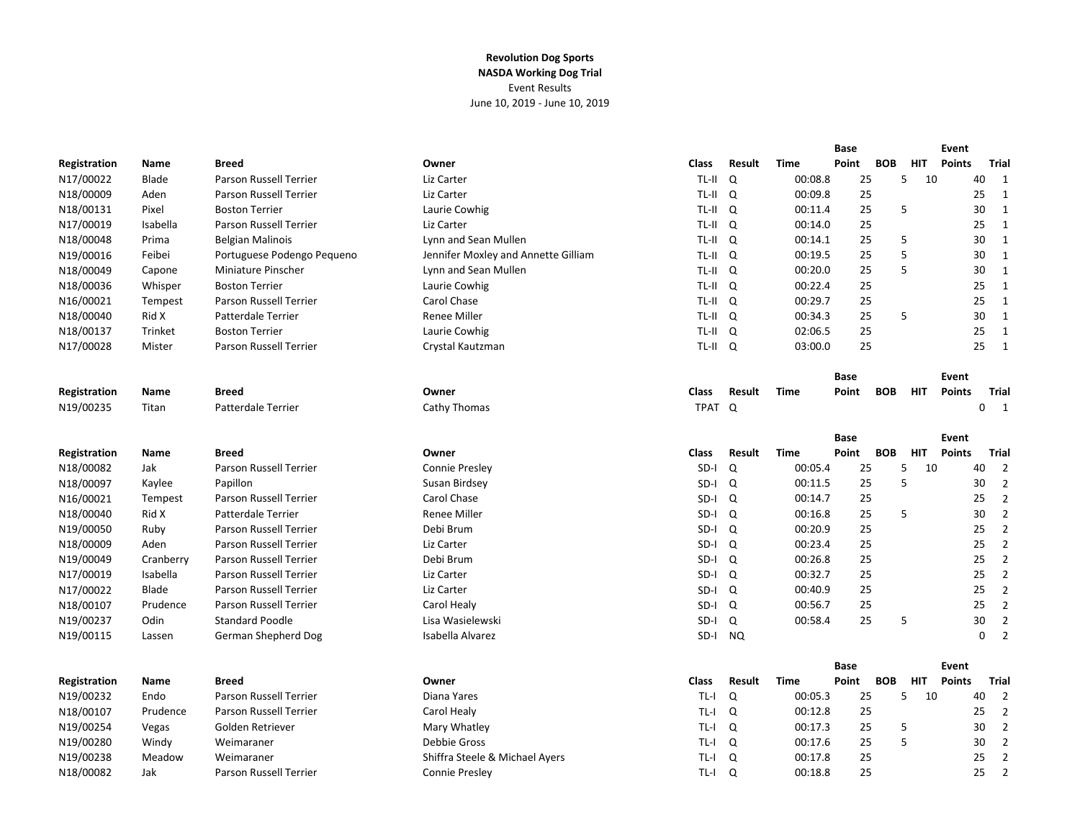|              |           |                               |                                     |              |               |             | Base        |            | Event      |               |              |                |
|--------------|-----------|-------------------------------|-------------------------------------|--------------|---------------|-------------|-------------|------------|------------|---------------|--------------|----------------|
| Registration | Name      | <b>Breed</b>                  | Owner                               | Class        | Result        | <b>Time</b> | Point       | <b>BOB</b> | <b>HIT</b> | <b>Points</b> | <b>Trial</b> |                |
| N17/00022    | Blade     | Parson Russell Terrier        | Liz Carter                          | TL-II        | Q             | 00:08.8     | 25          | 5          | 10         |               | 40           | $\mathbf{1}$   |
| N18/00009    | Aden      | Parson Russell Terrier        | Liz Carter                          | TL-II Q      |               | 00:09.8     | 25          |            |            |               | 25           | $\mathbf{1}$   |
| N18/00131    | Pixel     | <b>Boston Terrier</b>         | Laurie Cowhig                       | TL-II Q      |               | 00:11.4     | 25          | 5          |            |               | 30           | $\mathbf{1}$   |
| N17/00019    | Isabella  | Parson Russell Terrier        | Liz Carter                          | TL-II Q      |               | 00:14.0     | 25          |            |            |               | 25           | $\mathbf{1}$   |
| N18/00048    | Prima     | <b>Belgian Malinois</b>       | Lynn and Sean Mullen                | TL-II Q      |               | 00:14.1     | 25          | 5          |            |               | 30           | $\mathbf{1}$   |
| N19/00016    | Feibei    | Portuguese Podengo Pequeno    | Jennifer Moxley and Annette Gilliam | TL-II        | Q             | 00:19.5     | 25          | 5          |            |               | 30           | $\mathbf{1}$   |
| N18/00049    | Capone    | Miniature Pinscher            | Lynn and Sean Mullen                | TL-II Q      |               | 00:20.0     | 25          | 5          |            |               | 30           | $\mathbf{1}$   |
| N18/00036    | Whisper   | <b>Boston Terrier</b>         | Laurie Cowhig                       | TL-II Q      |               | 00:22.4     | 25          |            |            |               | 25           | $\mathbf{1}$   |
| N16/00021    | Tempest   | Parson Russell Terrier        | Carol Chase                         | TL-II Q      |               | 00:29.7     | 25          |            |            |               | 25           | $\mathbf{1}$   |
| N18/00040    | Rid X     | Patterdale Terrier            | <b>Renee Miller</b>                 | TL-II Q      |               | 00:34.3     | 25          | 5          |            |               | 30           | $\mathbf{1}$   |
| N18/00137    | Trinket   | <b>Boston Terrier</b>         | Laurie Cowhig                       | TL-II        | Q             | 02:06.5     | 25          |            |            |               | 25           | $\mathbf{1}$   |
| N17/00028    | Mister    | Parson Russell Terrier        | Crystal Kautzman                    | TL-II Q      |               | 03:00.0     | 25          |            |            |               | 25           | $\mathbf{1}$   |
|              |           |                               |                                     |              |               |             | Base        |            |            | Event         |              |                |
| Registration | Name      | <b>Breed</b>                  | Owner                               | Class        | Result        | <b>Time</b> | Point       | <b>BOB</b> | <b>HIT</b> | <b>Points</b> | <b>Trial</b> |                |
| N19/00235    | Titan     | <b>Patterdale Terrier</b>     | Cathy Thomas                        | TPAT Q       |               |             |             |            |            |               | $\mathbf 0$  | $\overline{1}$ |
|              |           |                               |                                     |              |               |             |             |            |            |               |              |                |
|              |           |                               |                                     |              |               |             | <b>Base</b> |            |            | Event         |              |                |
| Registration | Name      | <b>Breed</b>                  | Owner                               | <b>Class</b> | <b>Result</b> | <b>Time</b> | Point       | <b>BOB</b> | <b>HIT</b> | <b>Points</b> | Trial        |                |
| N18/00082    | Jak       | Parson Russell Terrier        | Connie Presley                      | SD-I         | Q             | 00:05.4     | 25          | 5          | 10         |               | 40           | $\overline{2}$ |
| N18/00097    | Kaylee    | Papillon                      | Susan Birdsey                       | SD-I         | Q             | 00:11.5     | 25          | 5          |            |               | 30           | $\overline{2}$ |
| N16/00021    | Tempest   | Parson Russell Terrier        | Carol Chase                         | SD-I         | Q             | 00:14.7     | 25          |            |            |               | 25           | $\overline{2}$ |
| N18/00040    | Rid X     | Patterdale Terrier            | <b>Renee Miller</b>                 | SD-I         | Q             | 00:16.8     | 25          | 5          |            |               | 30           | $\overline{2}$ |
| N19/00050    | Ruby      | <b>Parson Russell Terrier</b> | Debi Brum                           | $SD-I$       | Q             | 00:20.9     | 25          |            |            |               | 25           | $\overline{2}$ |
| N18/00009    | Aden      | Parson Russell Terrier        | Liz Carter                          | SD-I         | Q             | 00:23.4     | 25          |            |            |               | 25           | $\overline{2}$ |
| N19/00049    | Cranberry | Parson Russell Terrier        | Debi Brum                           | SD-I         | Q             | 00:26.8     | 25          |            |            |               | 25           | $\overline{2}$ |
| N17/00019    | Isabella  | <b>Parson Russell Terrier</b> | Liz Carter                          | SD-I         | Q             | 00:32.7     | 25          |            |            |               | 25           | $\overline{2}$ |
| N17/00022    | Blade     | <b>Parson Russell Terrier</b> | Liz Carter                          | SD-I         | Q             | 00:40.9     | 25          |            |            |               | 25           | $\overline{2}$ |
| N18/00107    | Prudence  | <b>Parson Russell Terrier</b> | Carol Healy                         | SD-I         | Q             | 00:56.7     | 25          |            |            |               | 25           | $\overline{2}$ |
| N19/00237    | Odin      | <b>Standard Poodle</b>        | Lisa Wasielewski                    | SD-I         | Q             | 00:58.4     | 25          | 5          |            |               | 30           | $\overline{2}$ |
| N19/00115    | Lassen    | German Shepherd Dog           | Isabella Alvarez                    | SD-I         | NQ.           |             |             |            |            |               | $\mathbf 0$  | $\overline{2}$ |
|              |           |                               |                                     |              |               |             | <b>Base</b> |            |            | Event         |              |                |
| Registration | Name      | <b>Breed</b>                  | Owner                               | <b>Class</b> | <b>Result</b> | Time        | Point       | <b>BOB</b> | <b>HIT</b> | <b>Points</b> | <b>Trial</b> |                |
| N19/00232    | Endo      | <b>Parson Russell Terrier</b> | Diana Yares                         | $TL - I$     | Q             | 00:05.3     | 25          | 5          | 10         |               | 40           | $\overline{2}$ |
| N18/00107    | Prudence  | Parson Russell Terrier        | Carol Healy                         | $TL-I$       | Q             | 00:12.8     | 25          |            |            |               | 25           | $\overline{2}$ |
| N19/00254    | Vegas     | Golden Retriever              | Mary Whatley                        | TL-I         | Q             | 00:17.3     | 25          | 5          |            |               | 30           | $\overline{2}$ |
| N19/00280    | Windy     | Weimaraner                    | Debbie Gross                        | TL-I         | Q             | 00:17.6     | 25          | 5          |            |               | 30           | $\overline{2}$ |
| N19/00238    | Meadow    | Weimaraner                    | Shiffra Steele & Michael Ayers      | TL-I         | Q             | 00:17.8     | 25          |            |            |               | 25           | $\overline{2}$ |
| N18/00082    | Jak       | Parson Russell Terrier        | Connie Presley                      | TL-I         | Q             | 00:18.8     | 25          |            |            |               | 25           | $\overline{2}$ |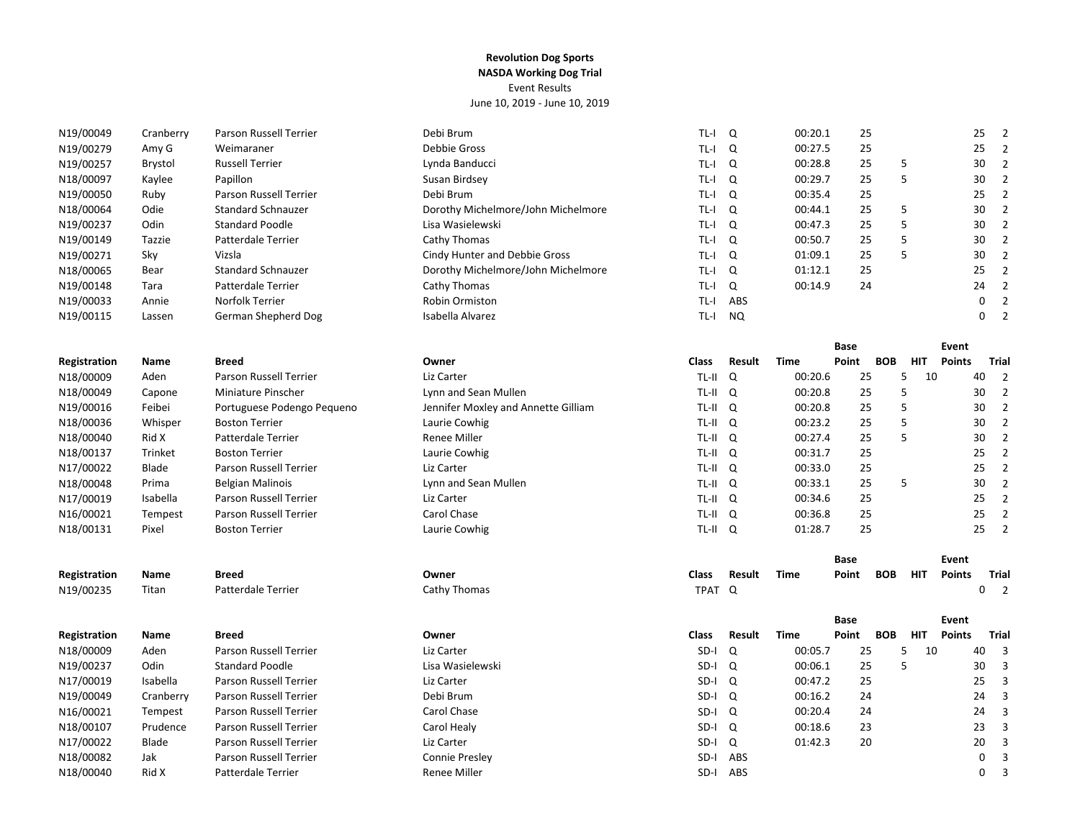| N19/00049    | Cranberry | Parson Russell Terrier        | Debi Brum                           | $TL-I$      | Q         | 00:20.1     | 25          |            |            |               | 25          | $\overline{2}$          |
|--------------|-----------|-------------------------------|-------------------------------------|-------------|-----------|-------------|-------------|------------|------------|---------------|-------------|-------------------------|
| N19/00279    | Amy G     | Weimaraner                    | Debbie Gross                        | TL-I        | Q         | 00:27.5     | 25          |            |            |               | 25          | $\overline{2}$          |
| N19/00257    | Brystol   | <b>Russell Terrier</b>        | Lynda Banducci                      | $TL-I$      | Q         | 00:28.8     | 25          |            | 5          |               | 30          | $\overline{2}$          |
| N18/00097    | Kaylee    | Papillon                      | Susan Birdsey                       | TL-I        | Q         | 00:29.7     | 25          |            | 5          |               | 30          | $\overline{2}$          |
| N19/00050    | Ruby      | Parson Russell Terrier        | Debi Brum                           | TL-I        | $\Omega$  | 00:35.4     | 25          |            |            |               | 25          | $\overline{2}$          |
| N18/00064    | Odie      | <b>Standard Schnauzer</b>     | Dorothy Michelmore/John Michelmore  | TL-I        | Q         | 00:44.1     | 25          |            | 5          |               | 30          | $\overline{2}$          |
| N19/00237    | Odin      | <b>Standard Poodle</b>        | Lisa Wasielewski                    | TL-I        | Q         | 00:47.3     | 25          |            | 5          |               | 30          | $\overline{2}$          |
| N19/00149    | Tazzie    | Patterdale Terrier            | Cathy Thomas                        | TL-I        | Q         | 00:50.7     | 25          |            | 5          |               | 30          | $\overline{2}$          |
| N19/00271    | Sky       | Vizsla                        | Cindy Hunter and Debbie Gross       | TL-I        | Q         | 01:09.1     | 25          |            | 5          |               | 30          | $\overline{2}$          |
| N18/00065    | Bear      | <b>Standard Schnauzer</b>     | Dorothy Michelmore/John Michelmore  | TL-I        | Q         | 01:12.1     | 25          |            |            |               | 25          | $\overline{2}$          |
| N19/00148    | Tara      | Patterdale Terrier            | Cathy Thomas                        | TL-I        | Q         | 00:14.9     | 24          |            |            |               | 24          | $\overline{2}$          |
| N19/00033    | Annie     | Norfolk Terrier               | Robin Ormiston                      | TL-I        | ABS       |             |             |            |            |               | $\mathbf 0$ | $\overline{2}$          |
| N19/00115    | Lassen    | German Shepherd Dog           | Isabella Alvarez                    | $TL-I$      | <b>NQ</b> |             |             |            |            |               | $\mathbf 0$ | $\overline{2}$          |
|              |           |                               |                                     |             |           |             | <b>Base</b> |            |            | Event         |             |                         |
| Registration | Name      | <b>Breed</b>                  | Owner                               | Class       | Result    | Time        | Point       | <b>BOB</b> | <b>HIT</b> | <b>Points</b> |             | <b>Trial</b>            |
| N18/00009    | Aden      | Parson Russell Terrier        | Liz Carter                          | TL-II       | Q         | 00:20.6     | 25          |            | 5<br>10    |               | 40          | $\overline{2}$          |
| N18/00049    | Capone    | Miniature Pinscher            | Lynn and Sean Mullen                | TL-II       | Q         | 00:20.8     | 25          |            | 5          |               | 30          | $\overline{2}$          |
| N19/00016    | Feibei    | Portuguese Podengo Pequeno    | Jennifer Moxley and Annette Gilliam | TL-II       | Q         | 00:20.8     | 25          |            | 5          |               | 30          | $\overline{2}$          |
| N18/00036    | Whisper   | <b>Boston Terrier</b>         | Laurie Cowhig                       | TL-II       | Q         | 00:23.2     | 25          |            | 5          |               | 30          | $\overline{2}$          |
| N18/00040    | Rid X     | Patterdale Terrier            | Renee Miller                        | TL-II Q     |           | 00:27.4     | 25          |            | 5          |               | 30          | $\overline{2}$          |
| N18/00137    | Trinket   | <b>Boston Terrier</b>         | Laurie Cowhig                       | TL-II Q     |           | 00:31.7     | 25          |            |            |               | 25          | $\overline{2}$          |
| N17/00022    | Blade     | Parson Russell Terrier        | Liz Carter                          | $TL-II$ $Q$ |           | 00:33.0     | 25          |            |            |               | 25          | $\overline{2}$          |
| N18/00048    | Prima     | <b>Belgian Malinois</b>       | Lynn and Sean Mullen                | TL-II Q     |           | 00:33.1     | 25          |            | 5          |               | 30          | $\overline{2}$          |
| N17/00019    | Isabella  | <b>Parson Russell Terrier</b> | Liz Carter                          | TL-II Q     |           | 00:34.6     | 25          |            |            |               | 25          | $\overline{2}$          |
| N16/00021    | Tempest   | Parson Russell Terrier        | Carol Chase                         | TL-II Q     |           | 00:36.8     | 25          |            |            |               | 25          | $\overline{2}$          |
| N18/00131    | Pixel     | <b>Boston Terrier</b>         | Laurie Cowhig                       | TL-II Q     |           | 01:28.7     | 25          |            |            |               | 25          | $\overline{2}$          |
|              |           |                               |                                     |             |           |             | <b>Base</b> |            |            | Event         |             |                         |
| Registration | Name      | <b>Breed</b>                  | Owner                               | Class       | Result    | <b>Time</b> | Point       | <b>BOB</b> | <b>HIT</b> | <b>Points</b> |             | <b>Trial</b>            |
| N19/00235    | Titan     | Patterdale Terrier            | Cathy Thomas                        | TPAT Q      |           |             |             |            |            |               | 0           | $\overline{\mathbf{2}}$ |
|              |           |                               |                                     |             |           |             | Base        |            |            | Event         |             |                         |
| Registration | Name      | <b>Breed</b>                  | Owner                               | Class       | Result    | <b>Time</b> | Point       | <b>BOB</b> | <b>HIT</b> | <b>Points</b> |             | <b>Trial</b>            |
| N18/00009    | Aden      | Parson Russell Terrier        | Liz Carter                          | SD-I        | Q         | 00:05.7     | 25          |            | 10<br>5    |               | 40          | 3                       |
| N19/00237    | Odin      | <b>Standard Poodle</b>        | Lisa Wasielewski                    | SD-I        | Q         | 00:06.1     | 25          |            | 5          |               | 30          | $\mathbf{3}$            |
| N17/00019    | Isabella  | <b>Parson Russell Terrier</b> | Liz Carter                          | SD-I        | Q         | 00:47.2     | 25          |            |            |               | 25          | $\overline{3}$          |
| N19/00049    | Cranberry | <b>Parson Russell Terrier</b> | Debi Brum                           | SD-I        | Q         | 00:16.2     | 24          |            |            |               | 24          | $\overline{3}$          |
| N16/00021    | Tempest   | Parson Russell Terrier        | Carol Chase                         | SD-I        | Q         | 00:20.4     | 24          |            |            |               | 24          | $\overline{3}$          |
| N18/00107    | Prudence  | Parson Russell Terrier        | Carol Healy                         | SD-I        | Q         | 00:18.6     | 23          |            |            |               | 23          | 3                       |
| N17/00022    | Blade     | Parson Russell Terrier        | Liz Carter                          | SD-I        | Q         | 01:42.3     | 20          |            |            |               | 20          | $\overline{3}$          |
| N18/00082    | Jak       | Parson Russell Terrier        | Connie Presley                      |             | SD-I ABS  |             |             |            |            |               | 0           | $\mathsf 3$             |
|              |           |                               |                                     |             |           |             |             |            |            |               |             |                         |

N18/00040 Rid X Patterdale Terrier Renee Miller SD‐I ABS 0 3